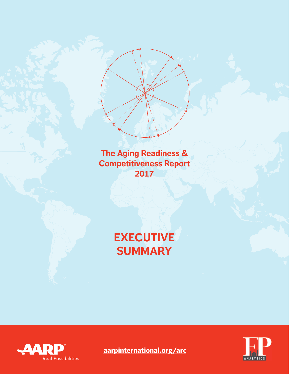**The Aging Readiness & Competitiveness Report 2017**

# **EXECUTIVE SUMMARY**





**aarpinternational.org/arc**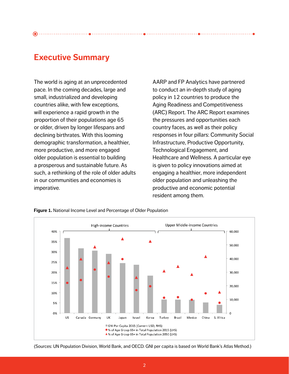### **Executive Summary**

The world is aging at an unprecedented pace. In the coming decades, large and small, industrialized and developing countries alike, with few exceptions, will experience a rapid growth in the proportion of their populations age 65 or older, driven by longer lifespans and declining birthrates. With this looming demographic transformation, a healthier, more productive, and more engaged older population is essential to building a prosperous and sustainable future. As such, a rethinking of the role of older adults in our communities and economies is imperative.

AARP and FP Analytics have partnered to conduct an in-depth study of aging policy in 12 countries to produce the Aging Readiness and Competitiveness (ARC) Report. The ARC Report examines the pressures and opportunities each country faces, as well as their policy responses in four pillars: Community Social Infrastructure, Productive Opportunity, Technological Engagement, and Healthcare and Wellness. A particular eye is given to policy innovations aimed at engaging a healthier, more independent older population and unleashing the productive and economic potential resident among them.



**Figure 1.** National Income Level and Percentage of Older Population

<sup>(</sup>Sources: UN Population Division, World Bank, and OECD. GNI per capita is based on World Bank's Atlas Method.)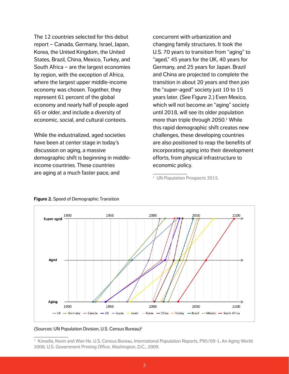The 12 countries selected for this debut report – Canada, Germany, Israel, Japan, Korea, the United Kingdom, the United States, Brazil, China, Mexico, Turkey, and South Africa – are the largest economies by region, with the exception of Africa, where the largest upper middle-income economy was chosen. Together, they represent 61 percent of the global economy and nearly half of people aged 65 or older, and include a diversity of economic, social, and cultural contexts.

While the industrialized, aged societies have been at center stage in today's discussion on aging, a massive demographic shift is beginning in middleincome countries. These countries are aging at a much faster pace, and

concurrent with urbanization and changing family structures. It took the U.S. 70 years to transition from "aging" to "aged," 45 years for the UK, 40 years for Germany, and 25 years for Japan. Brazil and China are projected to complete the transition in about 20 years and then join the "super-aged" society just 10 to 15 years later. (See Figure 2.) Even Mexico, which will not become an "aging" society until 2018, will see its older population more than triple through 2050.<sup>1</sup> While this rapid demographic shift creates new challenges, these developing countries are also positioned to reap the benefits of incorporating aging into their development efforts, from physical infrastructure to economic policy.



#### **Figure 2.** Speed of Demographic Transition

#### (Sources: UN Population Division, U.S. Census Bureau)2

<sup>&</sup>lt;sup>1</sup> UN Population Prospects 2015.

<sup>2</sup> Kinsella, Kevin and Wan He. U.S. Census Bureau, International Population Reports, P95/09-1, An Aging World: 2008, U.S. Government Printing Office, Washington, D.C., 2009.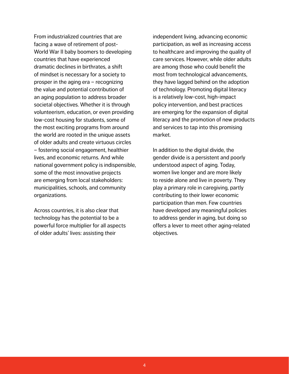From industrialized countries that are facing a wave of retirement of post-World War II baby boomers to developing countries that have experienced dramatic declines in birthrates, a shift of mindset is necessary for a society to prosper in the aging era – recognizing the value and potential contribution of an aging population to address broader societal objectives. Whether it is through volunteerism, education, or even providing low-cost housing for students, some of the most exciting programs from around the world are rooted in the unique assets of older adults and create virtuous circles – fostering social engagement, healthier lives, and economic returns. And while national government policy is indispensible, some of the most innovative projects are emerging from local stakeholders: municipalities, schools, and community organizations.

Across countries, it is also clear that technology has the potential to be a powerful force multiplier for all aspects of older adults' lives: assisting their

independent living, advancing economic participation, as well as increasing access to healthcare and improving the quality of care services. However, while older adults are among those who could benefit the most from technological advancements, they have lagged behind on the adoption of technology. Promoting digital literacy is a relatively low-cost, high-impact policy intervention, and best practices are emerging for the expansion of digital literacy and the promotion of new products and services to tap into this promising market.

In addition to the digital divide, the gender divide is a persistent and poorly understood aspect of aging. Today, women live longer and are more likely to reside alone and live in poverty. They play a primary role in caregiving, partly contributing to their lower economic participation than men. Few countries have developed any meaningful policies to address gender in aging, but doing so offers a lever to meet other aging-related objectives.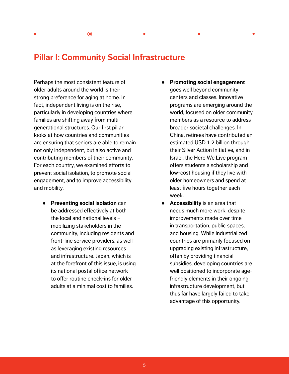## **Pillar I: Community Social Infrastructure**

Perhaps the most consistent feature of older adults around the world is their strong preference for aging at home. In fact, independent living is on the rise, particularly in developing countries where families are shifting away from multigenerational structures. Our first pillar looks at how countries and communities are ensuring that seniors are able to remain not only independent, but also active and contributing members of their community. For each country, we examined efforts to prevent social isolation, to promote social engagement, and to improve accessibility and mobility.

- **Preventing social isolation** can be addressed effectively at both the local and national levels – mobilizing stakeholders in the community, including residents and front-line service providers, as well as leveraging existing resources and infrastructure. Japan, which is at the forefront of this issue, is using its national postal office network to offer routine check-ins for older adults at a minimal cost to families.
- **Promoting social engagement** goes well beyond community centers and classes. Innovative programs are emerging around the world, focused on older community members as a resource to address broader societal challenges. In China, retirees have contributed an estimated USD 1.2 billion through their Silver Action Initiative, and in Israel, the Here We Live program offers students a scholarship and low-cost housing if they live with older homeowners and spend at least five hours together each week.
- **Accessibility** is an area that needs much more work, despite improvements made over time in transportation, public spaces, and housing. While industrialized countries are primarily focused on upgrading existing infrastructure, often by providing financial subsidies, developing countries are well positioned to incorporate agefriendly elements in their ongoing infrastructure development, but thus far have largely failed to take advantage of this opportunity.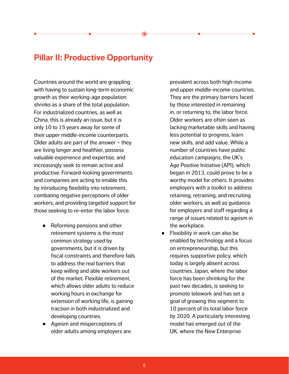## **Pillar II: Productive Opportunity**

Countries around the world are grappling with having to sustain long-term economic growth as their working-age population shrinks as a share of the total population. For industrialized countries, as well as China, this is already an issue, but it is only 10 to 15 years away for some of their upper middle-income counterparts. Older adults are part of the answer – they are living longer and healthier, possess valuable experience and expertise, and increasingly seek to remain active and productive. Forward-looking governments and companies are acting to enable this by introducing flexibility into retirement, combating negative perceptions of older workers, and providing targeted support for those seeking to re-enter the labor force.

- Reforming pensions and other retirement systems is the most common strategy used by governments, but it is driven by fiscal constraints and therefore fails to address the real barriers that keep willing and able workers out of the market. Flexible retirement, which allows older adults to reduce working hours in exchange for extension of working life, is gaining traction in both industrialized and developing countries.
- Ageism and misperceptions of older adults among employers are

prevalent across both high-income and upper middle-income countries. They are the primary barriers faced by those interested in remaining in, or returning to, the labor force. Older workers are often seen as lacking marketable skills and having less potential to progress, learn new skills, and add value. While a number of countries have public education campaigns, the UK's Age Positive Initiative (API), which began in 2013, could prove to be a worthy model for others. It provides employers with a toolkit to address retaining, retraining, and recruiting older workers, as well as guidance for employers and staff regarding a range of issues related to ageism in the workplace.

Flexibility in work can also be enabled by technology and a focus on entrepreneurship, but this requires supportive policy, which today is largely absent across countries. Japan, where the labor force has been shrinking for the past two decades, is seeking to promote telework and has set a goal of growing this segment to 10 percent of its total labor force by 2020. A particularly interesting model has emerged out of the UK, where the New Enterprise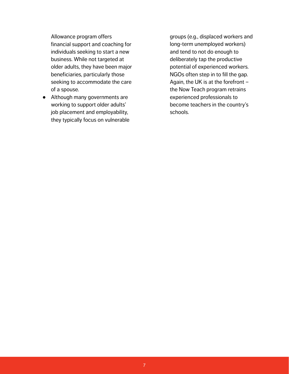Allowance program offers financial support and coaching for individuals seeking to start a new business. While not targeted at older adults, they have been major beneficiaries, particularly those seeking to accommodate the care of a spouse.

● Although many governments are working to support older adults' job placement and employability, they typically focus on vulnerable groups (e.g., displaced workers and long-term unemployed workers) and tend to not do enough to deliberately tap the productive potential of experienced workers. NGOs often step in to fill the gap. Again, the UK is at the forefront – the Now Teach program retrains experienced professionals to become teachers in the country's schools.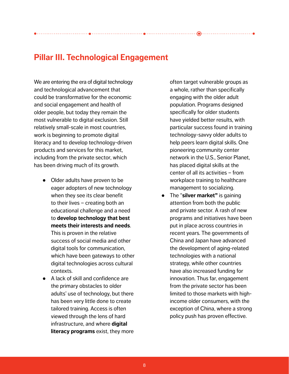# **Pillar III. Technological Engagement**

We are entering the era of digital technology and technological advancement that could be transformative for the economic and social engagement and health of older people, but today they remain the most vulnerable to digital exclusion. Still relatively small-scale in most countries, work is beginning to promote digital literacy and to develop technology-driven products and services for this market, including from the private sector, which has been driving much of its growth.

- Older adults have proven to be eager adopters of new technology when they see its clear benefit to their lives – creating both an educational challenge and a need to **develop technology that best meets their interests and needs**. This is proven in the relative success of social media and other digital tools for communication, which have been gateways to other digital technologies across cultural contexts.
- A lack of skill and confidence are the primary obstacles to older adults' use of technology, but there has been very little done to create tailored training. Access is often viewed through the lens of hard infrastructure, and where **digital literacy programs** exist, they more

often target vulnerable groups as a whole, rather than specifically engaging with the older adult population. Programs designed specifically for older students have yielded better results, with particular success found in training technology-savvy older adults to help peers learn digital skills. One pioneering community center network in the U.S., Senior Planet, has placed digital skills at the center of all its activities – from workplace training to healthcare management to socializing.

● The "**silver market"** is gaining attention from both the public and private sector. A rash of new programs and initiatives have been put in place across countries in recent years. The governments of China and Japan have advanced the development of aging-related technologies with a national strategy, while other countries have also increased funding for innovation. Thus far, engagement from the private sector has been limited to those markets with highincome older consumers, with the exception of China, where a strong policy push has proven effective.